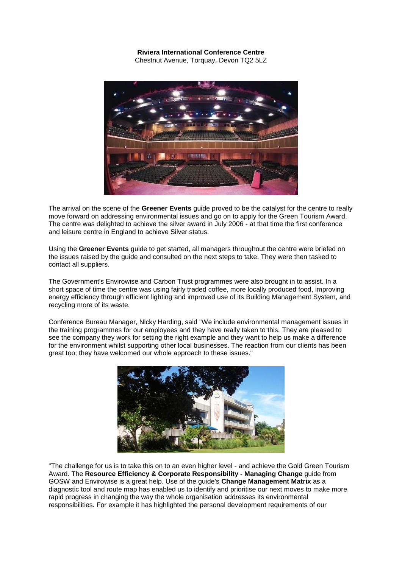## **Riviera International Conference Centre**

Chestnut Avenue, Torquay, Devon TQ2 5LZ



The arrival on the scene of the **Greener Events** guide proved to be the catalyst for the centre to really move forward on addressing environmental issues and go on to apply for the Green Tourism Award. The centre was delighted to achieve the silver award in July 2006 - at that time the first conference and leisure centre in England to achieve Silver status.

Using the **Greener Events** guide to get started, all managers throughout the centre were briefed on the issues raised by the guide and consulted on the next steps to take. They were then tasked to contact all suppliers.

The Government's Envirowise and Carbon Trust programmes were also brought in to assist. In a short space of time the centre was using fairly traded coffee, more locally produced food, improving energy efficiency through efficient lighting and improved use of its Building Management System, and recycling more of its waste.

Conference Bureau Manager, Nicky Harding, said "We include environmental management issues in the training programmes for our employees and they have really taken to this. They are pleased to see the company they work for setting the right example and they want to help us make a difference for the environment whilst supporting other local businesses. The reaction from our clients has been great too; they have welcomed our whole approach to these issues."



"The challenge for us is to take this on to an even higher level - and achieve the Gold Green Tourism Award. The **Resource Efficiency & Corporate Responsibility - Managing Change** guide from GOSW and Envirowise is a great help. Use of the guide's **Change Management Matrix** as a diagnostic tool and route map has enabled us to identify and prioritise our next moves to make more rapid progress in changing the way the whole organisation addresses its environmental responsibilities. For example it has highlighted the personal development requirements of our